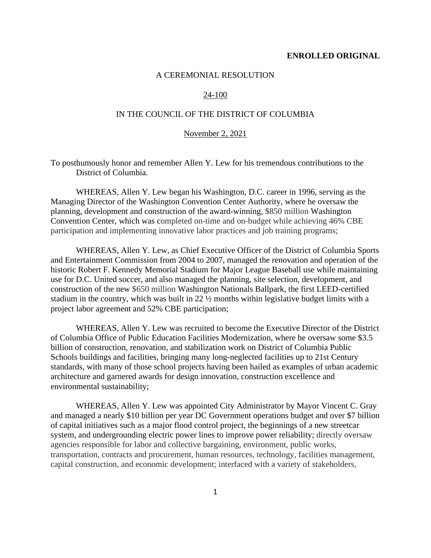#### **ENROLLED ORIGINAL**

## A CEREMONIAL RESOLUTION

## 24-100

## IN THE COUNCIL OF THE DISTRICT OF COLUMBIA

## November 2, 2021

To posthumously honor and remember Allen Y. Lew for his tremendous contributions to the District of Columbia.

WHEREAS, Allen Y. Lew began his Washington, D.C. career in 1996, serving as the Managing Director of the Washington Convention Center Authority, where he oversaw the planning, development and construction of the award-winning, \$850 million Washington Convention Center, which was completed on-time and on-budget while achieving 46% CBE participation and implementing innovative labor practices and job training programs;

WHEREAS, Allen Y. Lew, as Chief Executive Officer of the District of Columbia Sports and Entertainment Commission from 2004 to 2007, managed the renovation and operation of the historic Robert F. Kennedy Memorial Stadium for Major League Baseball use while maintaining use for D.C. United soccer, and also managed the planning, site selection, development, and construction of the new \$650 million Washington Nationals Ballpark, the first LEED-certified stadium in the country, which was built in 22 ½ months within legislative budget limits with a project labor agreement and 52% CBE participation;

WHEREAS, Allen Y. Lew was recruited to become the Executive Director of the District of Columbia Office of Public Education Facilities Modernization, where he oversaw some \$3.5 billion of construction, renovation, and stabilization work on District of Columbia Public Schools buildings and facilities, bringing many long-neglected facilities up to 21st Century standards, with many of those school projects having been hailed as examples of urban academic architecture and garnered awards for design innovation, construction excellence and environmental sustainability;

WHEREAS, Allen Y. Lew was appointed City Administrator by Mayor Vincent C. Gray and managed a nearly \$10 billion per year DC Government operations budget and over \$7 billion of capital initiatives such as a major flood control project, the beginnings of a new streetcar system, and undergrounding electric power lines to improve power reliability; directly oversaw agencies responsible for labor and collective bargaining, environment, public works, transportation, contracts and procurement, human resources, technology, facilities management, capital construction, and economic development; interfaced with a variety of stakeholders,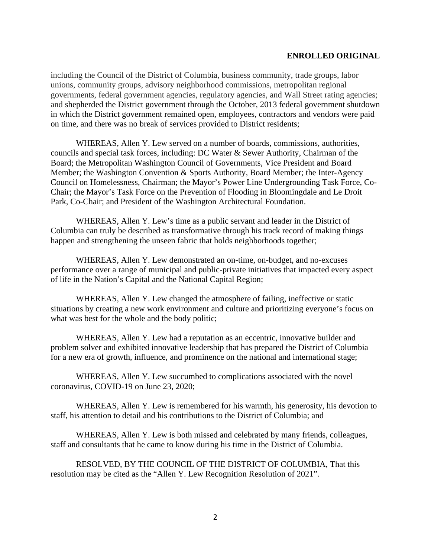## **ENROLLED ORIGINAL**

including the Council of the District of Columbia, business community, trade groups, labor unions, community groups, advisory neighborhood commissions, metropolitan regional governments, federal government agencies, regulatory agencies, and Wall Street rating agencies; and shepherded the District government through the October, 2013 federal government shutdown in which the District government remained open, employees, contractors and vendors were paid on time, and there was no break of services provided to District residents;

WHEREAS, Allen Y. Lew served on a number of boards, commissions, authorities, councils and special task forces, including: DC Water & Sewer Authority, Chairman of the Board; the Metropolitan Washington Council of Governments, Vice President and Board Member; the Washington Convention & Sports Authority, Board Member; the Inter-Agency Council on Homelessness, Chairman; the Mayor's Power Line Undergrounding Task Force, Co-Chair; the Mayor's Task Force on the Prevention of Flooding in Bloomingdale and Le Droit Park, Co-Chair; and President of the Washington Architectural Foundation.

WHEREAS, Allen Y. Lew's time as a public servant and leader in the District of Columbia can truly be described as transformative through his track record of making things happen and strengthening the unseen fabric that holds neighborhoods together;

WHEREAS, Allen Y. Lew demonstrated an on-time, on-budget, and no-excuses performance over a range of municipal and public-private initiatives that impacted every aspect of life in the Nation's Capital and the National Capital Region;

WHEREAS, Allen Y. Lew changed the atmosphere of failing, ineffective or static situations by creating a new work environment and culture and prioritizing everyone's focus on what was best for the whole and the body politic;

WHEREAS, Allen Y. Lew had a reputation as an eccentric, innovative builder and problem solver and exhibited innovative leadership that has prepared the District of Columbia for a new era of growth, influence, and prominence on the national and international stage;

WHEREAS, Allen Y. Lew succumbed to complications associated with the novel coronavirus, COVID-19 on June 23, 2020;

WHEREAS, Allen Y. Lew is remembered for his warmth, his generosity, his devotion to staff, his attention to detail and his contributions to the District of Columbia; and

WHEREAS, Allen Y. Lew is both missed and celebrated by many friends, colleagues, staff and consultants that he came to know during his time in the District of Columbia.

RESOLVED, BY THE COUNCIL OF THE DISTRICT OF COLUMBIA, That this resolution may be cited as the "Allen Y. Lew Recognition Resolution of 2021".